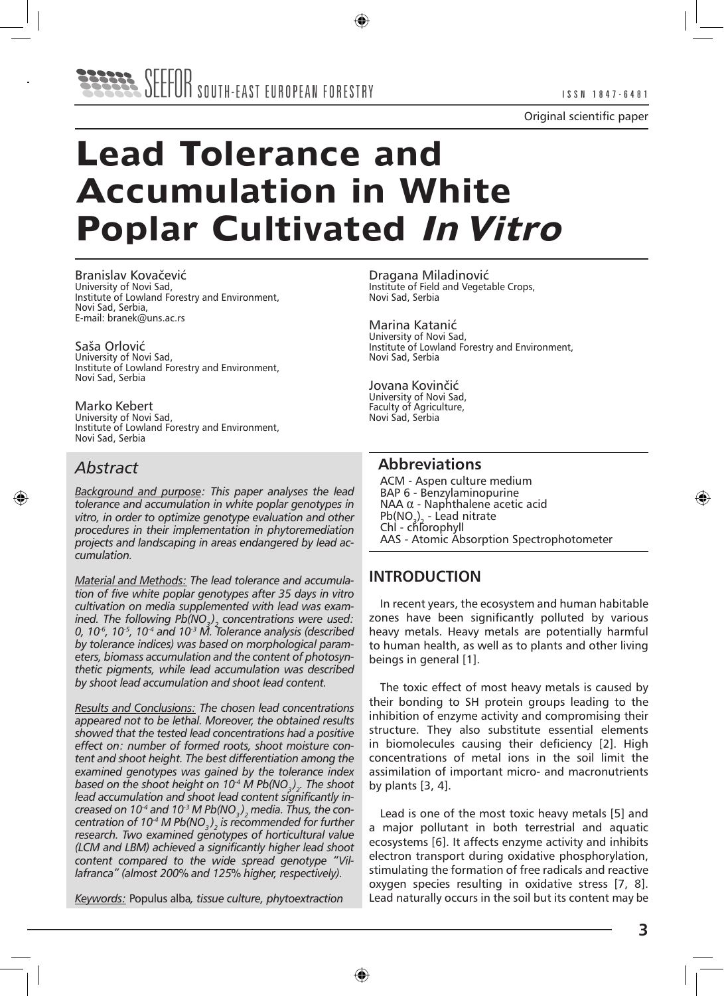

# **Lead Tolerance and Accumulation in White Poplar Cultivated In Vitro**

Branislav Kovačević University of Novi Sad, Institute of Lowland Forestry and Environment, Novi Sad, Serbia, E-mail: branek@uns.ac.rs

Saša Orlović University of Novi Sad, Institute of Lowland Forestry and Environment, Novi Sad, Serbia

Marko Kebert University of Novi Sad, Institute of Lowland Forestry and Environment, Novi Sad, Serbia

# *Abstract*

*Background and purpose: This paper analyses the lead tolerance and accumulation in white poplar genotypes in vitro, in order to optimize genotype evaluation and other procedures in their implementation in phytoremediation projects and landscaping in areas endangered by lead accumulation.*

*Material and Methods: The lead tolerance and accumulation of five white poplar genotypes after 35 days in vitro cultivation on media supplemented with lead was examined. The following Pb(NO3 ) 2 concentrations were used: 0, 10-6, 10-5, 10-4 and 10-3 M. Tolerance analysis (described by tolerance indices) was based on morphological parameters, biomass accumulation and the content of photosynthetic pigments, while lead accumulation was described by shoot lead accumulation and shoot lead content.* 

*Results and Conclusions: The chosen lead concentrations appeared not to be lethal. Moreover, the obtained results showed that the tested lead concentrations had a positive effect on: number of formed roots, shoot moisture content and shoot height. The best differentiation among the examined genotypes was gained by the tolerance index based on the shoot height on 10-4 M Pb(NO3 ) . The shoot 2 lead accumulation and shoot lead content significantly increased on 10-4 and 10-3 M Pb(NO3 ) 2 media. Thus, the concentration of 10-4 M Pb(NO3 ) 2 is recommended for further research. Two examined genotypes of horticultural value (LCM and LBM) achieved a significantly higher lead shoot content compared to the wide spread genotype "Villafranca" (almost 200% and 125% higher, respectively).*

*Keywords:* Populus alba*, tissue culture, phytoextraction*

Dragana Miladinović Institute of Field and Vegetable Crops, Novi Sad, Serbia

Marina Katanić University of Novi Sad, Institute of Lowland Forestry and Environment, Novi Sad, Serbia

Jovana Kovinčić University of Novi Sad, Faculty of Agriculture, Novi Sad, Serbia

# **Abbreviations**

ACM - Aspen culture medium BAP 6 - Benzylaminopurine NAA α - Naphthalene acetic acid  $Pb(NO<sub>3</sub>)<sub>2</sub>$  - Lead nitrate Chl - chlorophyll AAS - Atomic Absorption Spectrophotometer

# **INTRODUCTION**

In recent years, the ecosystem and human habitable zones have been significantly polluted by various heavy metals. Heavy metals are potentially harmful to human health, as well as to plants and other living beings in general [1].

The toxic effect of most heavy metals is caused by their bonding to SH protein groups leading to the inhibition of enzyme activity and compromising their structure. They also substitute essential elements in biomolecules causing their deficiency [2]. High concentrations of metal ions in the soil limit the assimilation of important micro- and macronutrients by plants [3, 4].

Lead is one of the most toxic heavy metals [5] and a major pollutant in both terrestrial and aquatic ecosystems [6]. It affects enzyme activity and inhibits electron transport during oxidative phosphorylation, stimulating the formation of free radicals and reactive oxygen species resulting in oxidative stress [7, 8]. Lead naturally occurs in the soil but its content may be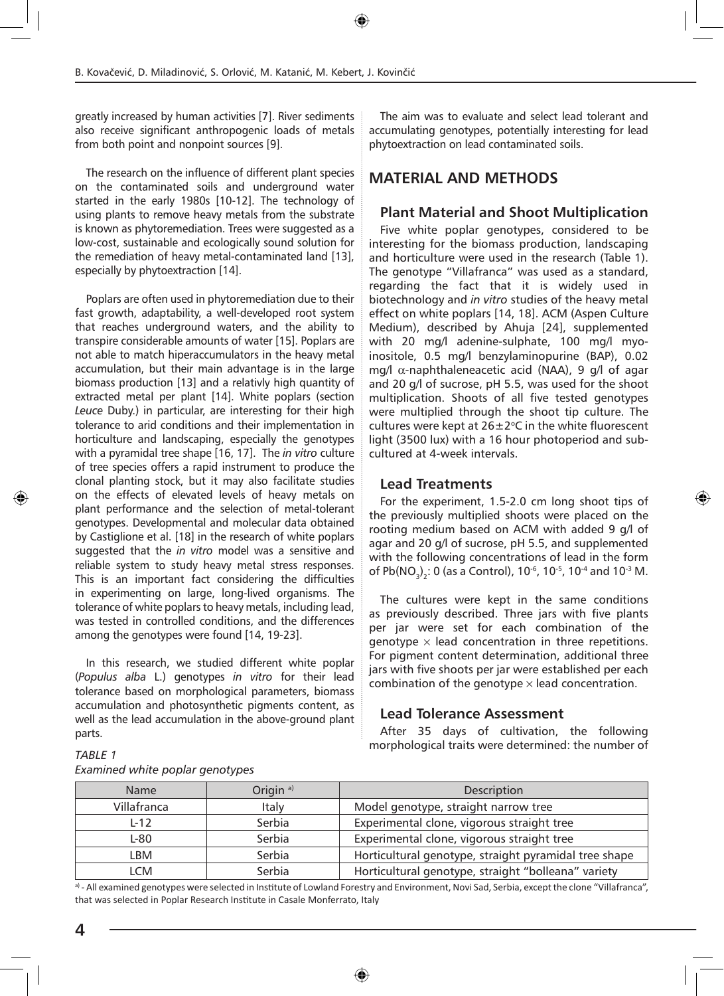greatly increased by human activities [7]. River sediments also receive significant anthropogenic loads of metals from both point and nonpoint sources [9].

The research on the influence of different plant species on the contaminated soils and underground water started in the early 1980s [10-12]. The technology of using plants to remove heavy metals from the substrate is known as phytoremediation. Trees were suggested as a low-cost, sustainable and ecologically sound solution for the remediation of heavy metal-contaminated land [13], especially by phytoextraction [14].

Poplars are often used in phytoremediation due to their fast growth, adaptability, a well-developed root system that reaches underground waters, and the ability to transpire considerable amounts of water [15]. Poplars are not able to match hiperaccumulators in the heavy metal accumulation, but their main advantage is in the large biomass production [13] and a relativly high quantity of extracted metal per plant [14]. White poplars (section *Leuce* Duby.) in particular, are interesting for their high tolerance to arid conditions and their implementation in horticulture and landscaping, especially the genotypes with a pyramidal tree shape [16, 17]. The *in vitro* culture of tree species offers a rapid instrument to produce the clonal planting stock, but it may also facilitate studies on the effects of elevated levels of heavy metals on plant performance and the selection of metal-tolerant genotypes. Developmental and molecular data obtained by Castiglione et al. [18] in the research of white poplars suggested that the *in vitro* model was a sensitive and reliable system to study heavy metal stress responses. This is an important fact considering the difficulties in experimenting on large, long-lived organisms. The tolerance of white poplars to heavy metals, including lead, was tested in controlled conditions, and the differences among the genotypes were found [14, 19-23].

In this research, we studied different white poplar (*Populus alba* L.) genotypes *in vitro* for their lead tolerance based on morphological parameters, biomass accumulation and photosynthetic pigments content, as well as the lead accumulation in the above-ground plant parts.

The aim was to evaluate and select lead tolerant and accumulating genotypes, potentially interesting for lead phytoextraction on lead contaminated soils.

# **MATERIAL AND METHODS**

#### **Plant Material and Shoot Multiplication**

Five white poplar genotypes, considered to be interesting for the biomass production, landscaping and horticulture were used in the research (Table 1). The genotype "Villafranca" was used as a standard, regarding the fact that it is widely used in biotechnology and *in vitro* studies of the heavy metal effect on white poplars [14, 18]. ACM (Aspen Culture Medium), described by Ahuja [24], supplemented with 20 mg/l adenine-sulphate, 100 mg/l myoinositole, 0.5 mg/l benzylaminopurine (BAP), 0.02 mg/l α-naphthaleneacetic acid (NAA), 9 g/l of agar and 20 g/l of sucrose, pH 5.5, was used for the shoot multiplication. Shoots of all five tested genotypes were multiplied through the shoot tip culture. The cultures were kept at  $26\pm2^{\circ}$ C in the white fluorescent light (3500 lux) with a 16 hour photoperiod and subcultured at 4-week intervals.

#### **Lead Treatments**

For the experiment, 1.5-2.0 cm long shoot tips of the previously multiplied shoots were placed on the rooting medium based on ACM with added 9 g/l of agar and 20 g/l of sucrose, pH 5.5, and supplemented with the following concentrations of lead in the form of Pb(NO<sub>3</sub>)<sub>2</sub>: 0 (as a Control), 10<sup>-6</sup>, 10<sup>-5</sup>, 10<sup>-4</sup> and 10<sup>-3</sup> M.

The cultures were kept in the same conditions as previously described. Three jars with five plants per jar were set for each combination of the genotype  $\times$  lead concentration in three repetitions. For pigment content determination, additional three jars with five shoots per jar were established per each combination of the genotype  $\times$  lead concentration.

#### **Lead Tolerance Assessment**

After 35 days of cultivation, the following morphological traits were determined: the number of *TABLE 1* 

| <b>Name</b> | Origin <sup>a)</sup> | Description                                           |
|-------------|----------------------|-------------------------------------------------------|
| Villafranca | Italy                | Model genotype, straight narrow tree                  |
| $L-12$      | Serbia               | Experimental clone, vigorous straight tree            |
| L-80        | Serbia               | Experimental clone, vigorous straight tree            |
| LBM         | Serbia               | Horticultural genotype, straight pyramidal tree shape |
| I CM        | Serbia               | Horticultural genotype, straight "bolleana" variety   |

# *Examined white poplar genotypes*

a) - All examined genotypes were selected in Institute of Lowland Forestry and Environment, Novi Sad, Serbia, except the clone "Villafranca", that was selected in Poplar Research Institute in Casale Monferrato, Italy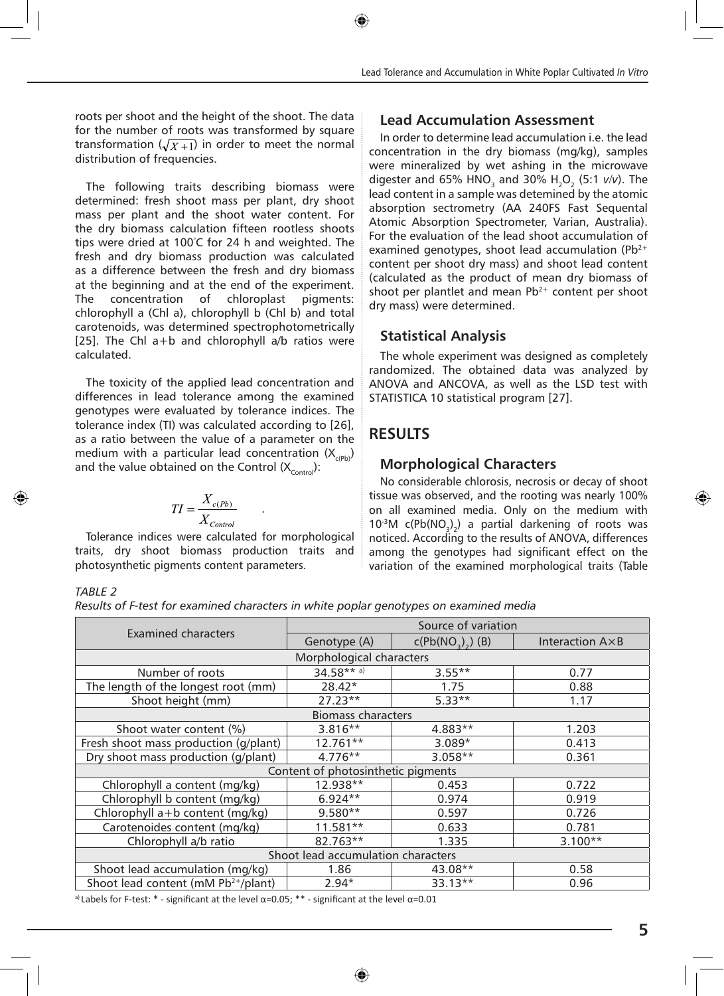roots per shoot and the height of the shoot. The data for the number of roots was transformed by square transformation  $(\sqrt{X+1})$  in order to meet the normal distribution of frequencies.

The following traits describing biomass were determined: fresh shoot mass per plant, dry shoot mass per plant and the shoot water content. For the dry biomass calculation fifteen rootless shoots tips were dried at 100° C for 24 h and weighted. The fresh and dry biomass production was calculated as a difference between the fresh and dry biomass at the beginning and at the end of the experiment. The concentration of chloroplast pigments: chlorophyll a (Chl a), chlorophyll b (Chl b) and total carotenoids, was determined spectrophotometrically [25]. The Chl  $a+b$  and chlorophyll  $a/b$  ratios were calculated.

The toxicity of the applied lead concentration and differences in lead tolerance among the examined genotypes were evaluated by tolerance indices. The tolerance index (TI) was calculated according to [26], as a ratio between the value of a parameter on the medium with a particular lead concentration  $(X_{\text{c}^{\rho}})$ and the value obtained on the Control  $(X_{control})$ :

$$
TI = \frac{X_{c(Pb)}}{X_{Control}}
$$

Tolerance indices were calculated for morphological traits, dry shoot biomass production traits and photosynthetic pigments content parameters.

#### **Lead Accumulation Assessment**

In order to determine lead accumulation i.e. the lead concentration in the dry biomass (mg/kg), samples were mineralized by wet ashing in the microwave digester and 65% HNO<sub>3</sub> and 30% H<sub>2</sub>O<sub>2</sub> (5:1 *v*/*v*). The lead content in a sample was detemined by the atomic absorption sectrometry (AA 240FS Fast Sequental Atomic Absorption Spectrometer, Varian, Australia). For the evaluation of the lead shoot accumulation of examined genotypes, shoot lead accumulation ( $Pb^{2+}$ content per shoot dry mass) and shoot lead content (calculated as the product of mean dry biomass of shoot per plantlet and mean  $Pb^{2+}$  content per shoot dry mass) were determined.

# **Statistical Analysis**

The whole experiment was designed as completely randomized. The obtained data was analyzed by ANOVA and ANCOVA, as well as the LSD test with STATISTICA 10 statistical program [27].

# **RESULTS**

# **Morphological Characters**

No considerable chlorosis, necrosis or decay of shoot tissue was observed, and the rooting was nearly 100% on all examined media. Only on the medium with  $10^{-3}$ M c(Pb(NO<sub>3</sub>)<sub>2</sub>) a partial darkening of roots was noticed. According to the results of ANOVA, differences among the genotypes had significant effect on the variation of the examined morphological traits (Table

#### *TABLE 2*

*Results of F-test for examined characters in white poplar genotypes on examined media*

|                                                 | Source of variation                |                   |                          |  |  |  |  |
|-------------------------------------------------|------------------------------------|-------------------|--------------------------|--|--|--|--|
| <b>Examined characters</b>                      | Genotype (A)                       | $c(Pb(NO3),)$ (B) | Interaction $A \times B$ |  |  |  |  |
|                                                 | Morphological characters           |                   |                          |  |  |  |  |
| Number of roots                                 | $34.58***$ a)                      | $3.55***$         | 0.77                     |  |  |  |  |
| The length of the longest root (mm)             | $28.42*$                           | 1.75              | 0.88                     |  |  |  |  |
| Shoot height (mm)                               | $27.23**$                          | $5.33**$          | 1.17                     |  |  |  |  |
|                                                 | <b>Biomass characters</b>          |                   |                          |  |  |  |  |
| Shoot water content (%)                         | $3.816**$                          | 4.883**           | 1.203                    |  |  |  |  |
| Fresh shoot mass production (g/plant)           | 12.761**                           | $3.089*$          | 0.413                    |  |  |  |  |
| Dry shoot mass production (g/plant)             | $4.776**$                          | $3.058**$         |                          |  |  |  |  |
|                                                 | Content of photosinthetic pigments |                   |                          |  |  |  |  |
| Chlorophyll a content (mg/kg)                   | 12.938**                           | 0.453             | 0.722                    |  |  |  |  |
| Chlorophyll b content (mg/kg)                   | $6.924**$                          | 0.974             | 0.919                    |  |  |  |  |
| Chlorophyll a+b content (mg/kg)                 | $9.580**$                          | 0.597             | 0.726                    |  |  |  |  |
| Carotenoides content (mg/kg)                    | $11.581**$                         | 0.633             | 0.781                    |  |  |  |  |
| Chlorophyll a/b ratio                           | 82.763**                           | 1.335             | $3.100**$                |  |  |  |  |
| Shoot lead accumulation characters              |                                    |                   |                          |  |  |  |  |
| Shoot lead accumulation (mg/kg)                 | 1.86                               | 43.08**           | 0.58                     |  |  |  |  |
| Shoot lead content (mM Pb <sup>2+</sup> /plant) | $2.94*$                            | 33.13**           | 0.96                     |  |  |  |  |

<sup>a)</sup> Labels for F-test: \* - significant at the level  $\alpha$ =0.05; \*\* - significant at the level  $\alpha$ =0.01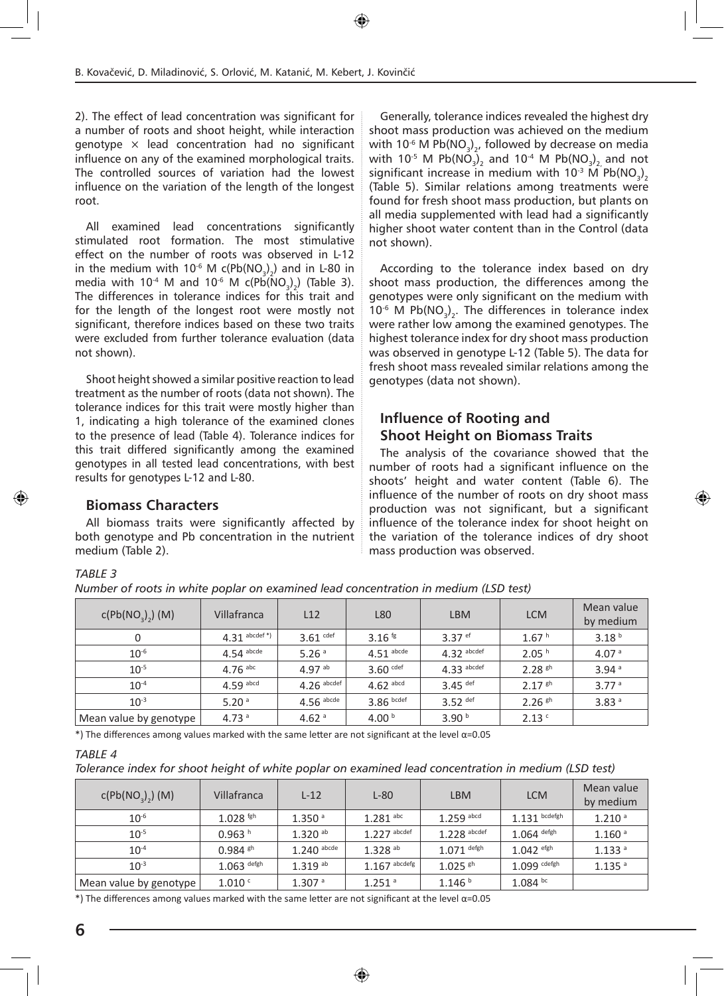2). The effect of lead concentration was significant for a number of roots and shoot height, while interaction genotype  $\times$  lead concentration had no significant influence on any of the examined morphological traits. The controlled sources of variation had the lowest influence on the variation of the length of the longest root.

All examined lead concentrations significantly stimulated root formation. The most stimulative effect on the number of roots was observed in L-12 in the medium with 10<sup>-6</sup> M c(Pb(NO<sub>3</sub>)<sub>2</sub>) and in L-80 in media with 10<sup>-4</sup> M and 10<sup>-6</sup> M c(Pb(NO<sub>3</sub>)<sub>2</sub>) (Table 3). The differences in tolerance indices for this trait and for the length of the longest root were mostly not significant, therefore indices based on these two traits were excluded from further tolerance evaluation (data not shown).

Shoot height showed a similar positive reaction to lead treatment as the number of roots (data not shown). The tolerance indices for this trait were mostly higher than 1, indicating a high tolerance of the examined clones to the presence of lead (Table 4). Tolerance indices for this trait differed significantly among the examined genotypes in all tested lead concentrations, with best results for genotypes L-12 and L-80.

#### **Biomass Characters**

All biomass traits were significantly affected by both genotype and Pb concentration in the nutrient medium (Table 2).

Generally, tolerance indices revealed the highest dry shoot mass production was achieved on the medium with 10<sup>-6</sup> M Pb(NO<sub>3</sub>)<sub>2</sub>, followed by decrease on media with 10<sup>-5</sup> M Pb(NO<sub>3</sub>)<sub>2</sub> and 10<sup>-4</sup> M Pb(NO<sub>3</sub>)<sub>2</sub> and not significant increase in medium with  $10^{-3}$  M Pb(NO<sub>2</sub>), **Explorate In the Contract Contract Contract Contract Contract Contract Contract Contract Contract Contract Contract Contract Contract Contract Contract Contract Contract Contract Contract Contract Contract Contract Contra** found for fresh shoot mass production, but plants on all media supplemented with lead had a significantly higher shoot water content than in the Control (data not shown).

According to the tolerance index based on dry shoot mass production, the differences among the genotypes were only significant on the medium with  $10^{-6}$  M Pb(NO<sub>3</sub>)<sub>2</sub>. The differences in tolerance index were rather low among the examined genotypes. The highest tolerance index for dry shoot mass production was observed in genotype L-12 (Table 5). The data for fresh shoot mass revealed similar relations among the genotypes (data not shown).

#### **Influence of Rooting and Shoot Height on Biomass Traits**

The analysis of the covariance showed that the number of roots had a significant influence on the shoots' height and water content (Table 6). The influence of the number of roots on dry shoot mass production was not significant, but a significant influence of the tolerance index for shoot height on the variation of the tolerance indices of dry shoot mass production was observed.

#### *TABLE 3*

*Number of roots in white poplar on examined lead concentration in medium (LSD test)*

| c(Pb(NO <sub>3</sub> ) <sub>2</sub> ) (M) | Villafranca      | L12               | L80                | <b>LBM</b>            | <b>LCM</b>        | Mean value<br>by medium |
|-------------------------------------------|------------------|-------------------|--------------------|-----------------------|-------------------|-------------------------|
| 0                                         | $4.31$ abcdef *) | $3.61$ cdef       | 3.16 $\frac{1}{8}$ | $3.37$ ef             | 1.67h             | 3.18 <sup>b</sup>       |
| $10^{-6}$                                 | $4.54$ abcde     | 5.26 <sup>a</sup> | $4.51$ abcde       | $4.32$ abcdef         | 2.05 <sup>h</sup> | 4.07 <sup>a</sup>       |
| $10^{-5}$                                 | $4.76$ abc       | $4.97^{ab}$       | $3.60$ cdef        | $4.33$ abcdef         | $2.28$ gh         | 3.94 <sup>a</sup>       |
| $10^{-4}$                                 | $4.59$ abcd      | $4.26$ abcdef     | $4.62$ abcd        | $3.45$ <sup>def</sup> | $2.17$ gh         | 3.77 <sup>a</sup>       |
| $10^{-3}$                                 | 5.20 $a$         | $4.56$ abcde      | $3.86$ bcdef       | $3.52$ def            | $2.26$ gh         | 3.83 <sup>a</sup>       |
| Mean value by genotype                    | 4.73 $a$         | 4.62 $a$          | 4.00 $b$           | 3.90 <sup>b</sup>     | 2.13 <sup>c</sup> |                         |

\*) The differences among values marked with the same letter are not significant at the level  $\alpha$ =0.05

#### *TABLE 4*

*Tolerance index for shoot height of white poplar on examined lead concentration in medium (LSD test)*

| c(Pb(NO <sub>3</sub> ) <sub>2</sub> ) (M) | Villafranca            | $L-12$                | $L-80$                | <b>LBM</b>         | <b>LCM</b>              | Mean value<br>by medium |
|-------------------------------------------|------------------------|-----------------------|-----------------------|--------------------|-------------------------|-------------------------|
| $10^{-6}$                                 | $1.028$ <sup>fgh</sup> | 1.350 <sup>a</sup>    | $1.281$ abc           | $1.259$ abcd       | $1.131$ bcdefgh         | 1.210 <sup>a</sup>      |
| $10^{-5}$                                 | 0.963 h                | $1.320$ <sup>ab</sup> | $1.227$ abcdef        | $1.228$ abcdef     | $1.064$ defgh           | 1.160 <sup>a</sup>      |
| $10^{-4}$                                 | $0.984$ sh             | $1.240$ abcde         | $1.328$ <sup>ab</sup> | $1.071$ defgh      | $1.042$ <sup>efgh</sup> | 1.133 <sup>a</sup>      |
| $10^{-3}$                                 | $1.063$ defgh          | $1.319^{ab}$          | $1.167$ abcdefg 1     | $1.025$ sh         | $1.099$ cdefgh          | $1.135$ <sup>a</sup>    |
| Mean value by genotype                    | 1.010 c                | 1.307 <sup>a</sup>    | $1.251$ <sup>a</sup>  | 1.146 <sup>b</sup> | $1.084$ bc              |                         |

\*) The differences among values marked with the same letter are not significant at the level α=0.05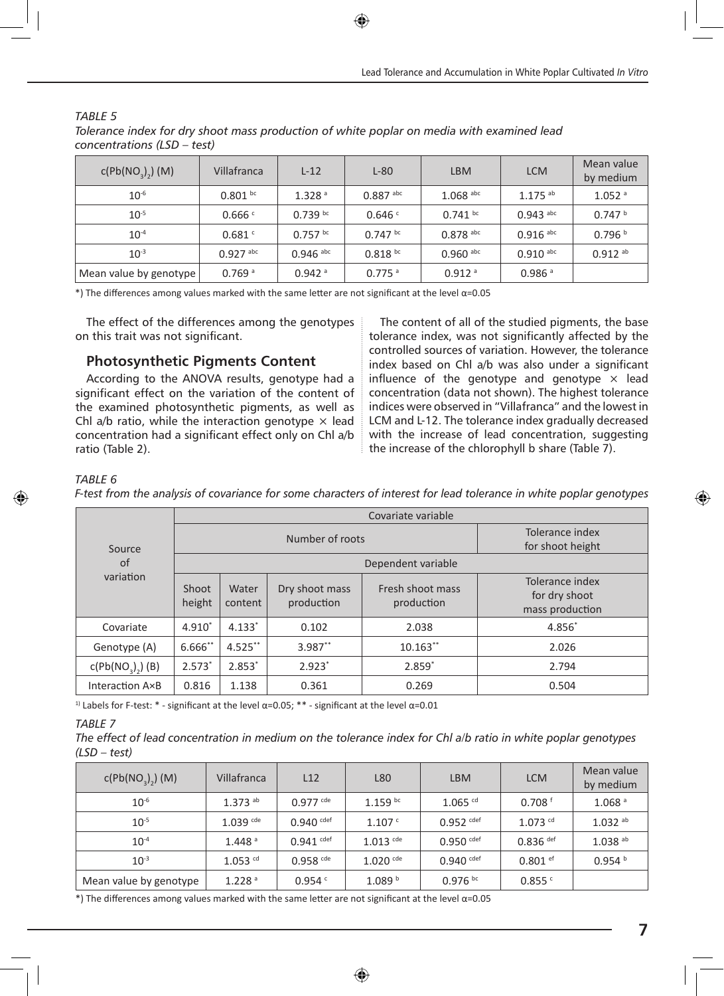| c(Pb(NO <sub>3</sub> ) <sub>2</sub> ) (M) | Villafranca          | $L-12$               | $L-80$               | <b>LBM</b>           | <b>LCM</b>            | Mean value<br>by medium |
|-------------------------------------------|----------------------|----------------------|----------------------|----------------------|-----------------------|-------------------------|
| $10^{-6}$                                 | $0.801$ bc           | 1.328 <sup>a</sup>   | $0.887$ abc          | $1.068$ abc          | $1.175$ <sup>ab</sup> | $1.052$ <sup>a</sup>    |
| $10^{-5}$                                 | 0.666c               | $0.739$ bc           | 0.646 <sup>c</sup>   | $0.741$ bc           | $0.943$ abc           | 0.747 h                 |
| $10^{-4}$                                 | 0.681c               | $0.757$ bc           | $0.747$ bc           | $0.878$ abc          | $0.916$ abc           | 0.796 <sup>b</sup>      |
| $10^{-3}$                                 | $0.927$ abc          | $0.946$ abc          | $0.818^{bc}$         | $0.960$ abc          | $0.910$ abc           | $0.912$ <sup>ab</sup>   |
| Mean value by genotype                    | $0.769$ <sup>a</sup> | $0.942$ <sup>a</sup> | $0.775$ <sup>a</sup> | $0.912$ <sup>a</sup> | $0.986$ <sup>a</sup>  |                         |

#### *TABLE 5*

*Tolerance index for dry shoot mass production of white poplar on media with examined lead concentrations (LSD – test)*

\*) The differences among values marked with the same letter are not significant at the level α=0.05

The effect of the differences among the genotypes on this trait was not significant.

#### **Photosynthetic Pigments Content**

According to the ANOVA results, genotype had a significant effect on the variation of the content of the examined photosynthetic pigments, as well as Chl a/b ratio, while the interaction genotype  $\times$  lead concentration had a significant effect only on Chl a/b ratio (Table 2).

The content of all of the studied pigments, the base tolerance index, was not significantly affected by the controlled sources of variation. However, the tolerance index based on Chl a/b was also under a significant influence of the genotype and genotype  $\times$  lead concentration (data not shown). The highest tolerance indices were observed in "Villafranca" and the lowest in LCM and L-12. The tolerance index gradually decreased with the increase of lead concentration, suggesting the increase of the chlorophyll b share (Table 7).

#### *TABLE 6*

*F-test from the analysis of covariance for some characters of interest for lead tolerance in white poplar genotypes*

| Source<br>of<br>variation    | Covariate variable |                  |                              |                                     |                                                     |  |  |
|------------------------------|--------------------|------------------|------------------------------|-------------------------------------|-----------------------------------------------------|--|--|
|                              |                    |                  | Number of roots              | Tolerance index<br>for shoot height |                                                     |  |  |
|                              |                    |                  |                              |                                     |                                                     |  |  |
|                              | Shoot<br>height    | Water<br>content | Dry shoot mass<br>production | Fresh shoot mass<br>production      | Tolerance index<br>for dry shoot<br>mass production |  |  |
| Covariate                    | $4.910^*$          | $4.133*$         | 0.102                        | 2.038                               | 4.856                                               |  |  |
| Genotype (A)                 | 6.666**            | $4.525***$       | 3.987**                      | $10.163**$                          | 2.026                                               |  |  |
| c(Pb(NO <sub>3</sub> ), (B)) | $2.573*$           | $2.853*$         | $2.923*$                     | $2.859*$                            | 2.794                                               |  |  |
| Interaction A×B              | 0.816              | 1.138            | 0.361                        | 0.269                               | 0.504                                               |  |  |

<sup>1)</sup> Labels for F-test: \* - significant at the level  $\alpha$ =0.05; \*\* - significant at the level  $\alpha$ =0.01

#### *TABLE 7*

*The effect of lead concentration in medium on the tolerance index for Chl a/b ratio in white poplar genotypes (LSD – test)*

| c(Pb(NO <sub>3</sub> ) <sub>2</sub> ) (M) | Villafranca           | L12          | L80                    | <b>LBM</b>            | <b>LCM</b>            | Mean value<br>by medium |
|-------------------------------------------|-----------------------|--------------|------------------------|-----------------------|-----------------------|-------------------------|
| $10^{-6}$                                 | $1.373$ <sup>ab</sup> | $0.977$ cde  | $1.159$ bc             | $1.065$ <sup>cd</sup> | 0.708 <sup>6</sup>    | 1.068 <sup>a</sup>      |
| $10^{-5}$                                 | $1.039$ cde           | $0.940$ cdef | 1.107c                 | $0.952$ cdef          | $1.073$ <sup>cd</sup> | $1.032$ <sup>ab</sup>   |
| $10^{-4}$                                 | 1.448 <sup>a</sup>    | $0.941$ cdef | $1.013$ <sup>cde</sup> | $0.950$ cdef          | $0.836$ def           | $1.038$ <sup>ab</sup>   |
| $10^{-3}$                                 | $1.053$ <sup>cd</sup> | $0.958$ cde  | $1.020$ cde            | $0.940$ cdef          | $0.801$ ef            | 0.954 <sup>b</sup>      |
| Mean value by genotype                    | 1.228 <sup>a</sup>    | 0.954c       | 1.089 <sup>b</sup>     | $0.976$ bc            | 0.855c                |                         |

 $*$ ) The differences among values marked with the same letter are not significant at the level  $\alpha$ =0.05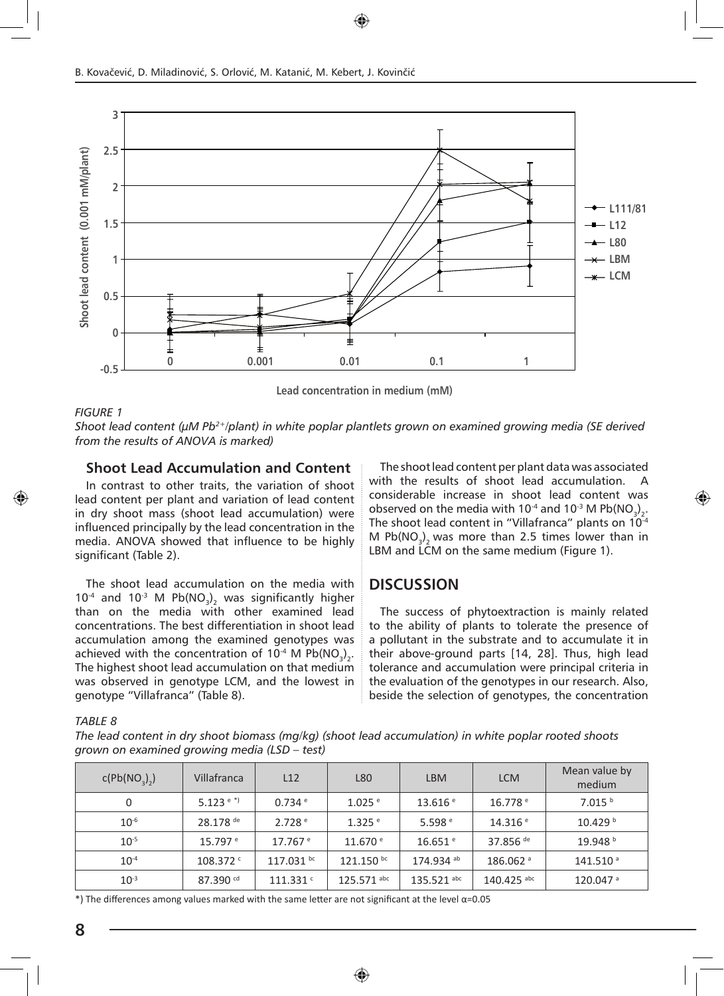

**Lead concentration in medium (mM)**

#### *FIGURE 1*

*Shoot lead content (µM Pb2+/plant) in white poplar plantlets grown on examined growing media (SE derived from the results of ANOVA is marked)*

#### **Shoot Lead Accumulation and Content**

In contrast to other traits, the variation of shoot lead content per plant and variation of lead content in dry shoot mass (shoot lead accumulation) were influenced principally by the lead concentration in the media. ANOVA showed that influence to be highly significant (Table 2).

The shoot lead accumulation on the media with  $10^{-4}$  and  $10^{-3}$  M Pb(NO<sub>3</sub>)<sub>2</sub> was significantly higher than on the media with other examined lead concentrations. The best differentiation in shoot lead accumulation among the examined genotypes was achieved with the concentration of 10<sup>-4</sup> M Pb(NO<sub>3</sub>)<sub>2</sub>. The highest shoot lead accumulation on that medium was observed in genotype LCM, and the lowest in genotype "Villafranca" (Table 8).

The shoot lead content per plant data was associated with the results of shoot lead accumulation. A considerable increase in shoot lead content was observed on the media with 10<sup>-4</sup> and 10<sup>-3</sup> M Pb(NO<sub>3</sub>)<sub>2</sub>. The shoot lead content in "Villafranca" plants on 10<sup>-4</sup> M  $Pb(NO<sub>3</sub>)<sub>2</sub>$  was more than 2.5 times lower than in LBM and LCM on the same medium (Figure 1).

#### **DISCUSSION**

The success of phytoextraction is mainly related to the ability of plants to tolerate the presence of a pollutant in the substrate and to accumulate it in their above-ground parts [14, 28]. Thus, high lead tolerance and accumulation were principal criteria in the evaluation of the genotypes in our research. Also, beside the selection of genotypes, the concentration

#### *TABLE 8*

*The lead content in dry shoot biomass (mg/kg) (shoot lead accumulation) in white poplar rooted shoots grown on examined growing media (LSD – test)*

| c(Pb(NO <sub>3</sub> ) <sub>2</sub> ) | Villafranca            | L12                   | L80                | <b>LBM</b>            | <b>LCM</b>           | Mean value by<br>medium |
|---------------------------------------|------------------------|-----------------------|--------------------|-----------------------|----------------------|-------------------------|
| 0                                     | 5.123 <sup>e</sup>     | $0.734$ <sup>e</sup>  | $1.025$ $^{\circ}$ | 13.616 e              | 16.778 e             | 7.015 <sup>b</sup>      |
| $10^{-6}$                             | 28.178 de              | 2.728 <sup>e</sup>    | $1.325$ $^{\circ}$ | 5.598 $^{\circ}$      | 14.316 e             | 10.429 <sup>b</sup>     |
| $10^{-5}$                             | $15.797$ <sup>e</sup>  | $17.767$ <sup>e</sup> | 11.670 e           | $16.651$ <sup>e</sup> | 37.856 <sup>de</sup> | 19.948 <sup>b</sup>     |
| $10^{-4}$                             | $108.372$ <sup>c</sup> | $117.031$ bc          | 121.150 bc         | 174.934 ab            | 186.062 <sup>a</sup> | 141.510 <sup>a</sup>    |
| $10^{-3}$                             | 87.390 $cd$            | 111.331c              | 125.571 abc        | $135.521$ abc         | 140.425 abc          | $120.047$ <sup>a</sup>  |

\*) The differences among values marked with the same letter are not significant at the level α=0.05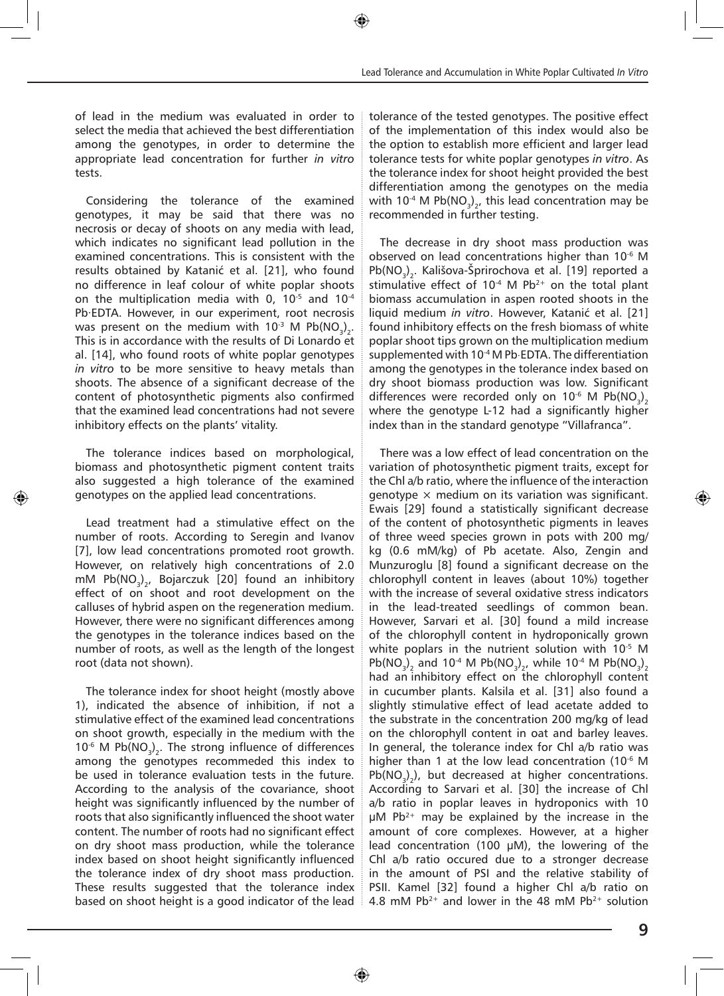of lead in the medium was evaluated in order to select the media that achieved the best differentiation among the genotypes, in order to determine the appropriate lead concentration for further *in vitro* tests.

Considering the tolerance of the examined genotypes, it may be said that there was no necrosis or decay of shoots on any media with lead, which indicates no significant lead pollution in the examined concentrations. This is consistent with the results obtained by Katanić et al. [21], who found no difference in leaf colour of white poplar shoots on the multiplication media with 0,  $10^{-5}$  and  $10^{-4}$ Pb·EDTA. However, in our experiment, root necrosis was present on the medium with 10<sup>-3</sup> M Pb(NO<sub>3</sub>)<sub>2</sub>. This is in accordance with the results of Di Lonardo et al. [14], who found roots of white poplar genotypes *in vitro* to be more sensitive to heavy metals than shoots. The absence of a significant decrease of the content of photosynthetic pigments also confirmed that the examined lead concentrations had not severe inhibitory effects on the plants' vitality.

The tolerance indices based on morphological, biomass and photosynthetic pigment content traits also suggested a high tolerance of the examined genotypes on the applied lead concentrations.

Lead treatment had a stimulative effect on the number of roots. According to Seregin and Ivanov [7], low lead concentrations promoted root growth. However, on relatively high concentrations of 2.0 mM Pb(NO $_3$ )<sub>2</sub>, Bojarczuk [20] found an inhibitory effect of on shoot and root development on the calluses of hybrid aspen on the regeneration medium. However, there were no significant differences among the genotypes in the tolerance indices based on the number of roots, as well as the length of the longest root (data not shown).

The tolerance index for shoot height (mostly above 1), indicated the absence of inhibition, if not a stimulative effect of the examined lead concentrations on shoot growth, especially in the medium with the  $10^{-6}$  M Pb(NO<sub>3</sub>)<sub>2</sub>. The strong influence of differences among the genotypes recommeded this index to be used in tolerance evaluation tests in the future. According to the analysis of the covariance, shoot height was significantly influenced by the number of roots that also significantly influenced the shoot water content. The number of roots had no significant effect on dry shoot mass production, while the tolerance index based on shoot height significantly influenced the tolerance index of dry shoot mass production. These results suggested that the tolerance index based on shoot height is a good indicator of the lead tolerance of the tested genotypes. The positive effect of the implementation of this index would also be the option to establish more efficient and larger lead tolerance tests for white poplar genotypes *in vitro*. As the tolerance index for shoot height provided the best differentiation among the genotypes on the media with 10<sup>-4</sup> M Pb(NO<sub>3</sub>)<sub>2</sub>, this lead concentration may be recommended in further testing.

The decrease in dry shoot mass production was observed on lead concentrations higher than 10<sup>-6</sup> M  $Pb(NO<sub>3</sub>)<sub>2</sub>$ . Kališova-Sprirochova et al. [19] reported a stimulative effect of  $10^{-4}$  M Pb<sup>2+</sup> on the total plant biomass accumulation in aspen rooted shoots in the liquid medium *in vitro*. However, Katanić et al. [21] found inhibitory effects on the fresh biomass of white poplar shoot tips grown on the multiplication medium supplemented with 10<sup>-4</sup> M Pb⋅EDTA. The differentiation among the genotypes in the tolerance index based on dry shoot biomass production was low. Significant differences were recorded only on 10<sup>-6</sup> M Pb(NO<sub>3</sub>)<sub>2</sub> where the genotype L-12 had a significantly higher index than in the standard genotype "Villafranca".

There was a low effect of lead concentration on the variation of photosynthetic pigment traits, except for the Chl a/b ratio, where the influence of the interaction genotype  $\times$  medium on its variation was significant. Ewais [29] found a statistically significant decrease of the content of photosynthetic pigments in leaves of three weed species grown in pots with 200 mg/ kg (0.6 mM/kg) of Pb acetate. Also, Zengin and Munzuroglu [8] found a significant decrease on the chlorophyll content in leaves (about 10%) together with the increase of several oxidative stress indicators in the lead-treated seedlings of common bean. However, Sarvari et al. [30] found a mild increase of the chlorophyll content in hydroponically grown white poplars in the nutrient solution with  $10^{-5}$  M Pb(NO<sub>3</sub>)<sub>2</sub> and 10<sup>-4</sup> M Pb(NO<sub>3</sub>)<sub>2</sub>, while 10<sup>-4</sup> M Pb(NO<sub>3</sub>)<sub>2</sub> had an inhibitory effect on the chlorophyll content in cucumber plants. Kalsila et al. [31] also found a slightly stimulative effect of lead acetate added to the substrate in the concentration 200 mg/kg of lead on the chlorophyll content in oat and barley leaves. In general, the tolerance index for Chl a/b ratio was higher than 1 at the low lead concentration (10<sup>-6</sup> M  $Pb(NO<sub>3</sub>)<sub>2</sub>$ ), but decreased at higher concentrations. According to Sarvari et al. [30] the increase of Chl a/b ratio in poplar leaves in hydroponics with 10  $\mu$ M Pb<sup>2+</sup> may be explained by the increase in the amount of core complexes. However, at a higher lead concentration (100 μM), the lowering of the Chl a/b ratio occured due to a stronger decrease in the amount of PSI and the relative stability of PSII. Kamel [32] found a higher Chl a/b ratio on 4.8 mM Pb<sup>2+</sup> and lower in the 48 mM Pb<sup>2+</sup> solution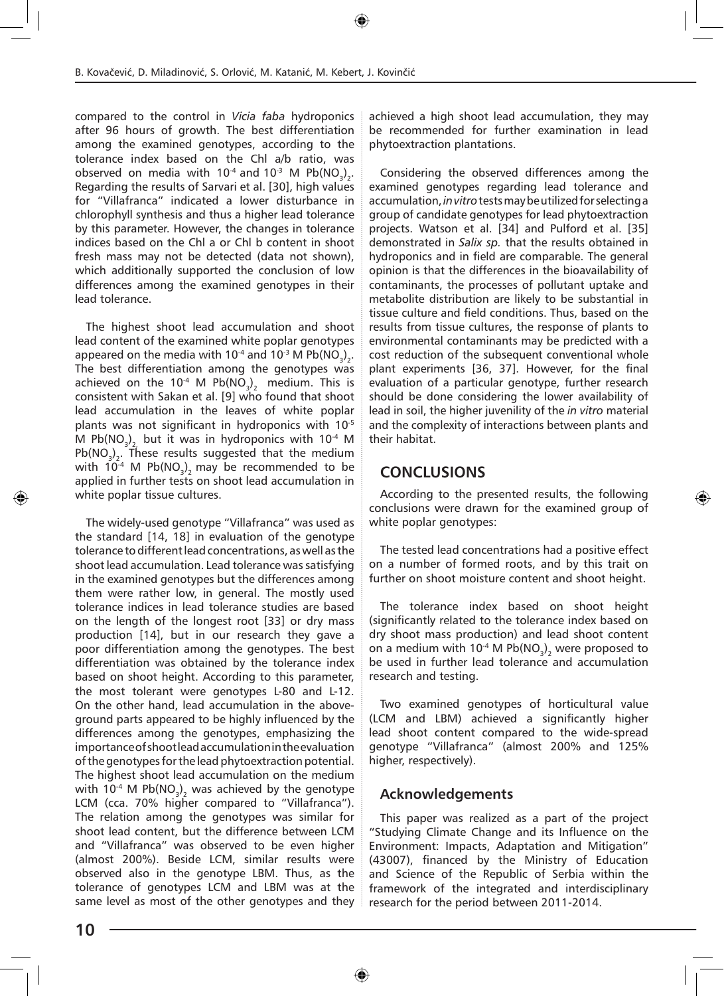compared to the control in *Vicia faba* hydroponics after 96 hours of growth. The best differentiation among the examined genotypes, according to the tolerance index based on the Chl a/b ratio, was observed on media with 10<sup>-4</sup> and 10<sup>-3</sup> M Pb(NO<sub>3</sub>)<sub>2</sub>. Regarding the results of Sarvari et al. [30], high values for "Villafranca" indicated a lower disturbance in chlorophyll synthesis and thus a higher lead tolerance by this parameter. However, the changes in tolerance indices based on the Chl a or Chl b content in shoot fresh mass may not be detected (data not shown), which additionally supported the conclusion of low differences among the examined genotypes in their lead tolerance.

The highest shoot lead accumulation and shoot lead content of the examined white poplar genotypes appeared on the media with 10<sup>-4</sup> and 10<sup>-3</sup> M Pb(NO<sub>3</sub>)<sub>2</sub>. The best differentiation among the genotypes was achieved on the 10<sup>-4</sup> M Pb(NO<sub>3</sub>)<sub>2</sub> medium. This is consistent with Sakan et al. [9] who found that shoot lead accumulation in the leaves of white poplar plants was not significant in hydroponics with 10-5 M Pb $\textsf{(NO}_{\textsf{3})_{\textsf{2},\textsf{}}}$  but it was in hydroponics with 10<sup>-4</sup> M  $Pb(NO<sub>3</sub>)<sub>2</sub>$ . These results suggested that the medium with 10<sup>-4</sup> M Pb(NO<sub>3</sub>)<sub>2</sub> may be recommended to be applied in further tests on shoot lead accumulation in white poplar tissue cultures.

The widely-used genotype "Villafranca" was used as the standard [14, 18] in evaluation of the genotype tolerance to different lead concentrations, as well as the shoot lead accumulation. Lead tolerance was satisfying in the examined genotypes but the differences among them were rather low, in general. The mostly used tolerance indices in lead tolerance studies are based on the length of the longest root [33] or dry mass production [14], but in our research they gave a poor differentiation among the genotypes. The best differentiation was obtained by the tolerance index based on shoot height. According to this parameter, the most tolerant were genotypes L-80 and L-12. On the other hand, lead accumulation in the aboveground parts appeared to be highly influenced by the differences among the genotypes, emphasizing the importance of shoot lead accumulation in the evaluation of the genotypes for the lead phytoextraction potential. The highest shoot lead accumulation on the medium with 10<sup>-4</sup> M Pb(NO<sub>3</sub>)<sub>2</sub> was achieved by the genotype LCM (cca. 70% higher compared to "Villafranca"). The relation among the genotypes was similar for shoot lead content, but the difference between LCM and "Villafranca" was observed to be even higher (almost 200%). Beside LCM, similar results were observed also in the genotype LBM. Thus, as the tolerance of genotypes LCM and LBM was at the same level as most of the other genotypes and they

achieved a high shoot lead accumulation, they may be recommended for further examination in lead phytoextraction plantations.

Considering the observed differences among the examined genotypes regarding lead tolerance and accumulation, *in vitro* tests may be utilized for selecting a group of candidate genotypes for lead phytoextraction projects. Watson et al. [34] and Pulford et al. [35] demonstrated in *Salix sp.* that the results obtained in hydroponics and in field are comparable. The general opinion is that the differences in the bioavailability of contaminants, the processes of pollutant uptake and metabolite distribution are likely to be substantial in tissue culture and field conditions. Thus, based on the results from tissue cultures, the response of plants to environmental contaminants may be predicted with a cost reduction of the subsequent conventional whole plant experiments [36, 37]. However, for the final evaluation of a particular genotype, further research should be done considering the lower availability of lead in soil, the higher juvenility of the *in vitro* material and the complexity of interactions between plants and their habitat.

# **CONCLUSIONS**

According to the presented results, the following conclusions were drawn for the examined group of white poplar genotypes:

The tested lead concentrations had a positive effect on a number of formed roots, and by this trait on further on shoot moisture content and shoot height.

The tolerance index based on shoot height (significantly related to the tolerance index based on dry shoot mass production) and lead shoot content on a medium with 10<sup>-4</sup> M Pb(NO<sub>3</sub>)<sub>2</sub> were proposed to be used in further lead tolerance and accumulation research and testing.

Two examined genotypes of horticultural value (LCM and LBM) achieved a significantly higher lead shoot content compared to the wide-spread genotype "Villafranca" (almost 200% and 125% higher, respectively).

# **Acknowledgements**

This paper was realized as a part of the project "Studying Climate Change and its Influence on the Environment: Impacts, Adaptation and Mitigation" (43007), financed by the Ministry of Education and Science of the Republic of Serbia within the framework of the integrated and interdisciplinary research for the period between 2011-2014.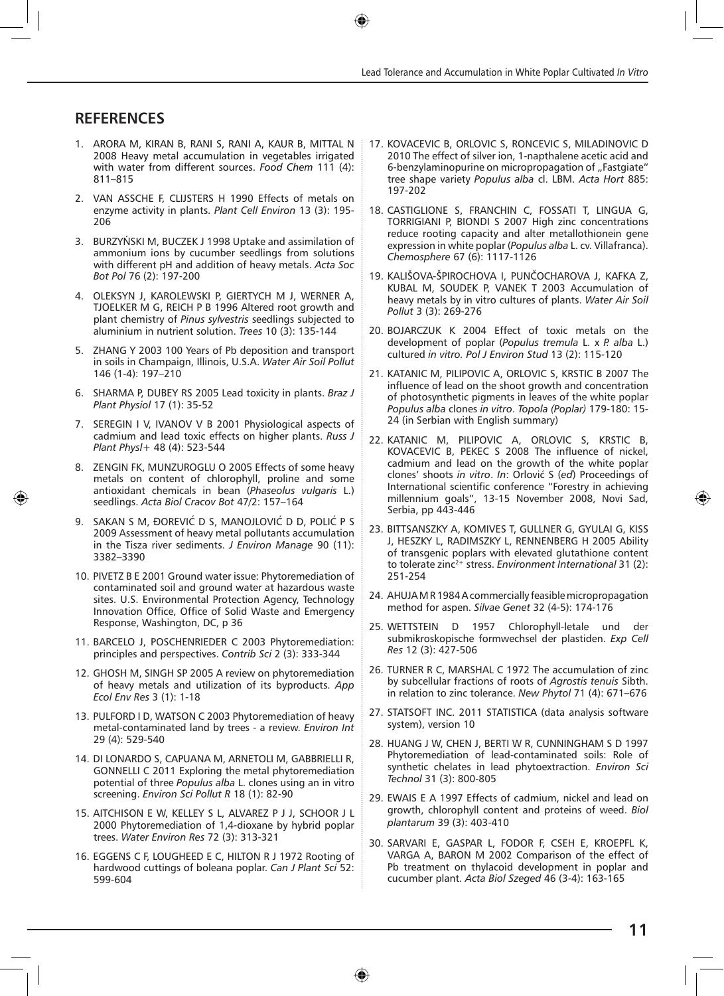#### **REFERENCES**

- 1. ARORA M, KIRAN B, RANI S, RANI A, KAUR B, MITTAL N 2008 Heavy metal accumulation in vegetables irrigated with water from different sources. *Food Chem* 111 (4): 811–815
- 2. VAN ASSCHE F, CLIJSTERS H 1990 Effects of metals on enzyme activity in plants. *Plant Cell Environ* 13 (3): 195- 206
- 3. BURZYŃSKI M, BUCZEK J 1998 Uptake and assimilation of ammonium ions by cucumber seedlings from solutions with different pH and addition of heavy metals. *Acta Soc Bot Pol* 76 (2): 197-200
- 4. OLEKSYN J, KAROLEWSKI P, GIERTYCH M J, WERNER A, TJOELKER M G, REICH P B 1996 Altered root growth and plant chemistry of *Pinus sylvestris* seedlings subjected to aluminium in nutrient solution. *Trees* 10 (3): 135-144
- 5. ZHANG Y 2003 100 Years of Pb deposition and transport in soils in Champaign, Illinois, U.S.A. *Water Air Soil Pollut* 146 (1-4): 197–210
- 6. SHARMA P, DUBEY RS 2005 Lead toxicity in plants. *Braz J Plant Physiol* 17 (1): 35-52
- 7. SEREGIN I V, IVANOV V B 2001 Physiological aspects of cadmium and lead toxic effects on higher plants. *Russ J Plant Physl+* 48 (4): 523-544
- 8. ZENGIN FK, MUNZUROGLU O 2005 Effects of some heavy metals on content of chlorophyll, proline and some antioxidant chemicals in bean (*Phaseolus vulgaris* L.) seedlings. *Acta Biol Cracov Bot* 47/2: 157–164
- 9. SAKAN S M, ĐOREVIĆ D S, MANOJLOVIĆ D D, POLIĆ P S 2009 Assessment of heavy metal pollutants accumulation in the Tisza river sediments. *J Environ Manage* 90 (11): 3382–3390
- 10. PIVETZ B E 2001 Ground water issue: Phytoremediation of contaminated soil and ground water at hazardous waste sites. U.S. Environmental Protection Agency, Technology Innovation Office, Office of Solid Waste and Emergency Response, Washington, DC, p 36
- 11. BARCELO J, POSCHENRIEDER C 2003 Phytoremediation: principles and perspectives. *Contrib Sci* 2 (3): 333-344
- 12. GHOSH M, SINGH SP 2005 A review on phytoremediation of heavy metals and utilization of its byproducts. *App Ecol Env Res* 3 (1): 1-18
- 13. PULFORD I D, WATSON C 2003 Phytoremediation of heavy metal-contaminated land by trees - a review. *Environ Int* 29 (4): 529-540
- 14. DI LONARDO S, CAPUANA M, ARNETOLI M, GABBRIELLI R, GONNELLI C 2011 Exploring the metal phytoremediation potential of three *Populus alba* L. clones using an in vitro screening. *Environ Sci Pollut R* 18 (1): 82-90
- 15. AITCHISON E W, KELLEY S L, ALVAREZ P J J, SCHOOR J L 2000 Phytoremediation of 1,4-dioxane by hybrid poplar trees. *Water Environ Res* 72 (3): 313-321
- 16. EGGENS C F, LOUGHEED E C, HILTON R J 1972 Rooting of hardwood cuttings of boleana poplar. *Can J Plant Sci* 52: 599-604
- 17. KOVACEVIC B, ORLOVIC S, RONCEVIC S, MILADINOVIC D 2010 The effect of silver ion, 1-napthalene acetic acid and 6-benzylaminopurine on micropropagation of "Fastgiate" tree shape variety *Populus alba* cl. LBM. *Acta Hort* 885: 197-202
- 18. CASTIGLIONE S, FRANCHIN C, FOSSATI T, LINGUA G, TORRIGIANI P, BIONDI S 2007 High zinc concentrations reduce rooting capacity and alter metallothionein gene expression in white poplar (*Populus alba* L. cv. Villafranca). *Chemosphere* 67 (6): 1117-1126
- 19. KALIŠOVA-ŠPIROCHOVA I, PUNČOCHAROVA J, KAFKA Z, KUBAL M, SOUDEK P, VANEK T 2003 Accumulation of heavy metals by in vitro cultures of plants. *Water Air Soil Pollut* 3 (3): 269-276
- 20. BOJARCZUK K 2004 Effect of toxic metals on the development of poplar (*Populus tremula* L. x *P. alba* L.) cultured *in vitro. Pol J Environ Stud* 13 (2): 115-120
- 21. KATANIC M, PILIPOVIC A, ORLOVIC S, KRSTIC B 2007 The influence of lead on the shoot growth and concentration of photosynthetic pigments in leaves of the white poplar *Populus alba* clones *in vitro*. *Topola (Poplar)* 179-180: 15- 24 (in Serbian with English summary)
- 22. KATANIC M, PILIPOVIC A, ORLOVIC S, KRSTIC B, KOVACEVIC B, PEKEC S 2008 The influence of nickel, cadmium and lead on the growth of the white poplar clones' shoots *in vitro*. *In*: Orlović S (*ed*) Proceedings of International scientific conference "Forestry in achieving millennium goals", 13-15 November 2008, Novi Sad, Serbia, pp 443-446
- 23. BITTSANSZKY A, KOMIVES T, GULLNER G, GYULAI G, KISS J, HESZKY L, RADIMSZKY L, RENNENBERG H 2005 Ability of transgenic poplars with elevated glutathione content to tolerate zinc2+ stress. *Environment International* 31 (2): 251-254
- 24. AHUJA M R 1984 A commercially feasible micropropagation method for aspen. *Silvae Genet* 32 (4-5): 174-176
- 25. WETTSTEIN D 1957 Chlorophyll-letale und der submikroskopische formwechsel der plastiden. *Exp Cell Res* 12 (3): 427-506
- 26. TURNER R C, MARSHAL C 1972 The accumulation of zinc by subcellular fractions of roots of *Agrostis tenuis* Sibth. in relation to zinc tolerance. *New Phytol* 71 (4): 671–676
- 27. STATSOFT INC. 2011 STATISTICA (data analysis software system), version 10
- 28. HUANG J W, CHEN J, BERTI W R, CUNNINGHAM S D 1997 Phytoremediation of lead-contaminated soils: Role of synthetic chelates in lead phytoextraction. *Environ Sci Technol* 31 (3): 800-805
- 29. EWAIS E A 1997 Effects of cadmium, nickel and lead on growth, chlorophyll content and proteins of weed. *Biol plantarum* 39 (3): 403-410
- 30. SARVARI E, GASPAR L, FODOR F, CSEH E, KROEPFL K, VARGA A, BARON M 2002 Comparison of the effect of Pb treatment on thylacoid development in poplar and cucumber plant. *Acta Biol Szeged* 46 (3-4): 163-165